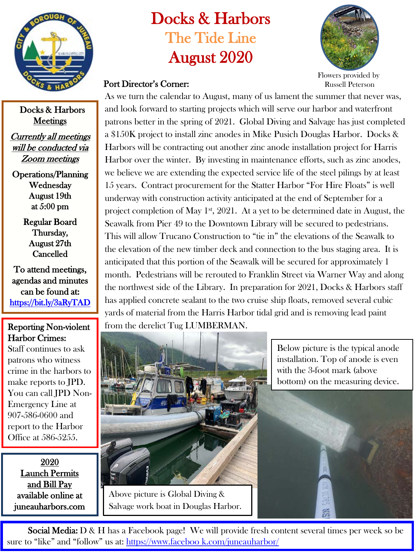

Docks & Harbors **Meetings** 

Currently all meetings will be conducted via Zoom meetings

Operations/Planning Wednesday August 19th at 5:00 pm

> Regular Board Thursday, August 27th Cancelled

To attend meetings, agendas and minutes can be found at: <https://bit.ly/3aRyTAD>

## Reporting Non-violent Harbor Crimes:

Staff continues to ask patrons who witness crime in the harbors to make reports to JPD. You can call JPD Non-Emergency Line at 907-586-0600 and report to the Harbor Office at 586-5255.

2020 Launch Permits and Bill Pay available online at juneauharbors.com

## Docks & Harbors The Tide Line August 2020

Port Director's Corner:



Flowers provided by Russell Peterson

As we turn the calendar to August, many of us lament the summer that never was, and look forward to starting projects which will serve our harbor and waterfront patrons better in the spring of 2021. Global Diving and Salvage has just completed a \$150K project to install zinc anodes in Mike Pusich Douglas Harbor. Docks & Harbors will be contracting out another zinc anode installation project for Harris Harbor over the winter. By investing in maintenance efforts, such as zinc anodes, we believe we are extending the expected service life of the steel pilings by at least 15 years. Contract procurement for the Statter Harbor "For Hire Floats" is well underway with construction activity anticipated at the end of September for a project completion of May  $1<sup>st</sup>$ , 2021. At a yet to be determined date in August, the Seawalk from Pier 49 to the Downtown Library will be secured to pedestrians. This will allow Trucano Construction to "tie in" the elevations of the Seawalk to the elevation of the new timber deck and connection to the bus staging area. It is anticipated that this portion of the Seawalk will be secured for approximately 1 month. Pedestrians will be rerouted to Franklin Street via Warner Way and along the northwest side of the Library. In preparation for 2021, Docks & Harbors staff has applied concrete sealant to the two cruise ship floats, removed several cubic yards of material from the Harris Harbor tidal grid and is removing lead paint from the derelict Tug LUMBERMAN.



Above picture is Global Diving & Salvage work boat in Douglas Harbor.

Below picture is the typical anode installation. Top of anode is even with the 3-foot mark (above bottom) on the measuring device.



**Social Media:** D & H has a Facebook page! We will provide fresh content several times per week so be sure to "like" and "follow" us at: [https://www.faceboo k.com/juneauharbor/](https://www.facebook.com/juneauharbor/)